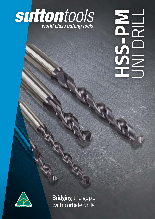

# **HSS-PM** UNI DRILL NEWSHIP



*Bridging the gap... with carbide drills*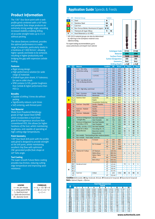## *Product Information*

*The 130° four facet point with a web profile grind combined with a 40º helix and parabolic flute shape produces an extremely strong wedge angle, providing increased stability enabling drilling of accurate straight holes up to 3 x D without pecking.* 

*The above features combined, provides the optimal performance in a wide range of materials, particularly steels to a hardness of 1300 N/mm2 , allowing higher speeds and feeds to be achieved, resulting in higher productivity and bridging the gap with expensive carbide tooling.*

#### *Features*

- *Rigid strong design*
- *High performance solution for wide range of materials*
- *Endmill type plain shank, h7 tolerance, for use in collet chuck*
- *SPM contains Co10%, greater toughness than Carbide & higher performance than HSS Co*

## *Benefits*

- *Capable of drilling 3 times dia without pecking*
- *Significantly reduces cycle times*
- *Self centering, web thinned point*

### *Tool Material*

*Made from Powdered Metallurgy grade of High Speed Steel (SPM) which incorporates a much finer grain & homogeneous structure than conventional HSS, this allows for higher hardness of the tool, whilst maintaining toughness, and capable of operating at high cutting edge temperatures.*

## *Point Geometry*

*130º four facet drill point with the profile web grind is designed to provide strength at the drill point, whilst maintaining excellent chip flow with optimized CNC generated profile flute shape at 40º helix angle.*

#### *Tool Coating*

*The super smooth Futura Nano coating provides low friction, reducing cutting edge temperature and improving wear resistance.*

## *LEGEND*

*n = rev. per minute v<sub>c</sub>* = cutting speed (SFM) *f = feed (inch/rev) vf = feed rate (inch/min) Ø = diameter (inch)*

```
FORMULAS
n = (v<sub>c</sub> × 12) / (Ø × π)
v<sub>c</sub> = (\emptyset × π × n) / 12
         vf
 = f × n
```
## *Application Guide Speeds & Feeds*

|            |                    | <b>ISO VDI Material Group</b>                            |                                    | <b>Sutton</b>             |                           |                   |                          |                          |                                  |                          |
|------------|--------------------|----------------------------------------------------------|------------------------------------|---------------------------|---------------------------|-------------------|--------------------------|--------------------------|----------------------------------|--------------------------|
| P          | А                  | Steel                                                    |                                    | N                         |                           |                   |                          |                          |                                  |                          |
| M          | R                  | <b>Stainless Steel</b>                                   |                                    | VA                        |                           |                   |                          |                          |                                  |                          |
|            |                    |                                                          |                                    |                           | ⋚                         |                   |                          |                          |                                  |                          |
| K          | F                  | Cast Iron                                                |                                    | GG                        |                           |                   |                          |                          |                                  |                          |
| N          | N                  | Non-Ferrous Metals, Aluminiums & Coppers                 |                                    | AI W                      |                           |                   |                          |                          |                                  |                          |
| s          | S                  | <b>Titaniums &amp; Super Alloys</b>                      |                                    | Ti                        | Νi                        |                   |                          |                          |                                  |                          |
| н          | н                  | Hard Materials ( $\geq 45$ HRC)                          |                                    |                           |                           |                   |                          |                          |                                  |                          |
|            |                    | ^ VDI 3323 material groups can also be determined        |                                    |                           |                           |                   |                          |                          |                                  |                          |
|            |                    | by referring to the workpiece material cross             |                                    |                           |                           |                   |                          |                          |                                  |                          |
|            | reference listing. |                                                          |                                    |                           |                           |                   |                          |                          |                                  |                          |
|            |                    | For expert tooling recommendations, go to:               |                                    |                           |                           |                   |                          |                          |                                  |                          |
|            |                    | www.suttontools.com/expert-tool-selector                 |                                    |                           |                           |                   |                          |                          |                                  |                          |
|            |                    |                                                          |                                    |                           |                           |                   |                          |                          |                                  |                          |
|            |                    |                                                          |                                    |                           |                           |                   |                          |                          |                                  |                          |
|            |                    |                                                          |                                    |                           | <b>Catalogue Code</b>     |                   |                          | D155                     |                                  | D168                     |
|            |                    |                                                          |                                    |                           |                           | <b>Material</b>   |                          | <b>SPM</b>               |                                  | <b>SPM</b>               |
|            |                    |                                                          |                                    |                           | <b>Surface Finish</b>     |                   |                          | <b>TiAIN</b>             |                                  | <b>TiAIN</b>             |
|            |                    |                                                          |                                    |                           | <b>Sutton Designation</b> |                   |                          | UNI                      |                                  | UNI                      |
|            |                    |                                                          |                                    |                           |                           | <b>Geometry</b>   |                          | <b>R40</b>               |                                  | <b>R40</b>               |
|            |                    |                                                          |                                    |                           | <b>Drilling Depth</b>     |                   |                          | ≤ 3xØ                    |                                  | ≤ 5xØ                    |
|            |                    |                                                          |                                    | <b>Condition</b>          |                           | N/mm <sup>2</sup> |                          | Feed #                   |                                  |                          |
| <b>ISO</b> | VDI^<br>3323       | <b>Material</b>                                          |                                    |                           | HB                        |                   | Vc                       |                          | Vc                               | Feed #                   |
|            | 1                  | Steel - Non-alloy,                                       | $~15$ %C                           | A                         | 125                       | 440               | 65                       | 6                        | 60                               | 7                        |
|            | $\overline{2}$     | cast & free cutting                                      | $~10.45$ %C                        | $\boldsymbol{\mathsf{A}}$ | 190                       | 640               | 55                       | 6                        | 45                               | 7                        |
|            | $\overline{3}$     |                                                          |                                    | QT                        | 250                       | 840               | 50                       | 6                        | 45                               | 7                        |
|            | 4<br>5             |                                                          | $~1$ - 0.75 %C                     | Α                         | 270                       | 910               | 50<br>25                 | 6<br>6                   | 45<br>20                         | 7<br>6                   |
|            | 6                  | Steel - Low alloy & cast                                 |                                    | QT                        | 300                       | 1010<br>610       |                          |                          |                                  |                          |
| P          | $\overline{7}$     | < 5% of alloying elements                                |                                    | A<br>QT                   | 180                       |                   | 50<br>35                 | 6<br>6                   | 45<br>30                         | 7<br>7                   |
|            | 8                  |                                                          |                                    | QT                        | 275<br>300                | 930<br>1010       | 25                       | 6                        | 20                               | 6                        |
|            | 9                  |                                                          |                                    | QT                        | 350                       | 1180              | 15                       | 5                        | 12                               | 6                        |
|            | 10                 | Steel - High alloy, cast & tool                          |                                    | A                         | 200                       | 680               | 25                       | 6                        | 20                               | 6                        |
|            | 11                 |                                                          |                                    | HT                        | 325                       | 1100              | 15                       | 5                        | 12                               | 6                        |
|            | 12                 | Steel - Corrosion                                        | Ferritic / Martensitic             | A                         | 200                       | 680               | 14                       | 4                        | 10                               | 3                        |
|            | 13                 | resistant & cast                                         | Martensitic                        | QT                        | 240                       | 810               | 15                       | 5                        | 12                               | 6                        |
|            | 14.1               | <b>Stainless Steel</b>                                   | <b>Austenitic</b>                  | AH                        | 180                       | 610               | 16                       | 5                        | 10                               | 4                        |
| M          | 14.2               |                                                          | <b>Duplex</b>                      |                           | 250                       | 840               | 12                       | 5                        | 8                                | 4                        |
|            | 14.3               |                                                          | <b>Precipitation Hardening</b>     |                           | 250                       | 840               | 14                       | 4                        | 10                               | з                        |
|            | 15                 | Cast Iron - Grey (GG)                                    | <b>Ferritic / Pearlitic</b>        |                           | 180                       | 610               | 44                       | 6                        | 40                               | 6                        |
|            | 16                 |                                                          | Pearlitic                          |                           | 260                       | 880               | 39                       | 6                        | 35                               | 6                        |
|            | 17                 | Cast Iron - Nodular                                      | Ferritic                           |                           | 160                       | 570               | 44                       | 5                        | 40                               | 5                        |
| K          | 18                 | (GGG)                                                    | Pearlitic                          |                           | 250                       | 840               | 44                       | 5                        | 40                               | 5                        |
|            | 19                 | <b>Cast Iron - Malleable</b>                             | Ferritic                           |                           | 130                       | 460               | 44                       | 5                        | 40                               | 5                        |
|            | 20                 |                                                          | Pearlitic                          |                           | 230                       | 780               | 44                       | 5                        | 40                               | 5                        |
|            | 21                 | Aluminum & Magnesium                                     | Non Heat Treatable                 |                           | 60                        | 210               | 88                       | 5                        | 80                               | 5                        |
|            | 22                 | - wrought alloy                                          | <b>Heat Treatable</b>              | AH                        | 100                       | 360               | 88                       | 5                        | 80                               | 5                        |
|            | 23                 | Aluminum & Magnesium                                     | Non Heat Treatable                 |                           | 75                        | 270               | 53                       | 5                        | 48                               | 5                        |
|            | 24                 | - cast alloy ≤ 12% Si                                    | <b>Heat Treatable</b>              | AH                        | 90                        | 320               | 53                       | 5                        | 48                               | 5                        |
| N          | 25                 | Al & Mg - cast alloy >12% Si                             | Non Heat Treatable                 |                           | 130                       | 460               | $\blacksquare$           | $\qquad \qquad -$        | 30                               | 6                        |
|            | 26                 | Copper & Cu alloys                                       | Free cutting, Pb > 1%              |                           | 110                       | 390               | 39                       | 4                        | 35                               | 4                        |
|            | 27                 | (Brass/Bronze)                                           | Brass (CuZn, CuSnZn)               |                           | 90                        | 320               | 44                       | 5                        | 40                               | 5                        |
|            | 28                 |                                                          | Bronze (CuSn)                      |                           | 100                       | 360               | 33                       | 4                        | 30                               | 5                        |
|            | 29                 | Non-metallic - Thermosetting & fiber-reinforced plastics |                                    |                           |                           |                   | 70                       | 5                        | 60                               | 4                        |
|            | 30                 | Non-metallic - Hard rubber, wood etc.                    |                                    |                           |                           |                   |                          | $\overline{a}$           |                                  |                          |
|            | 31                 | High temp. alloys                                        | Fe based                           | A                         | 200                       | 680               | $\overline{\phantom{0}}$ | $\overline{a}$           |                                  | $\qquad \qquad -$        |
|            | 32                 |                                                          |                                    | AH                        | 280                       | 950               | $\overline{\phantom{a}}$ | $\overline{\phantom{a}}$ | $\qquad \qquad \blacksquare$     | $\overline{\phantom{0}}$ |
|            | 33                 |                                                          | Ni / Co based                      | Α                         | 250                       | 840               | 8                        | 4                        | 8                                | 4                        |
|            | 34                 |                                                          |                                    | AН                        | 350                       | 1180              |                          |                          |                                  |                          |
|            | 35                 |                                                          |                                    | С                         | 320                       | 1080              | $\overline{a}$           | -<br>$\overline{a}$      | $\overline{a}$<br>$\overline{a}$ |                          |
| s          | 36                 | <b>Titanium &amp; Ti alloys</b>                          | <b>CP Titanium</b><br>Alpha alloys |                           | 400 MPa                   |                   | 9                        | 4                        | 9                                | 4                        |
|            | 37.1<br>37.2       |                                                          | Alpha / Beta                       |                           | 860 MPa<br>960 MPa        |                   | $\overline{\phantom{0}}$ | $\overline{\phantom{0}}$ | $\overline{\phantom{a}}$         | $\overline{\phantom{0}}$ |
|            | 37.3               |                                                          | alloys                             | А<br>AH                   | 1170 MPa                  |                   | $\overline{\phantom{a}}$ | $\qquad \qquad -$        | $\overline{\phantom{a}}$         | $\overline{\phantom{0}}$ |
|            | 37.4               |                                                          | Beta alloys                        | А                         | 830 MPa                   |                   |                          |                          |                                  |                          |
|            | 37.5               |                                                          |                                    | AН                        | 1400 MPa                  |                   |                          | $\overline{a}$           |                                  |                          |
|            | 38.1               | Hardened steel                                           |                                    | НT                        | 45 HRC                    |                   | 10                       | 4                        | 8                                | 4                        |
|            | 38.2               |                                                          |                                    | НT                        | 55 HRC                    |                   | $\overline{\phantom{a}}$ | $\overline{a}$           |                                  | $\overline{\phantom{0}}$ |
|            | 39.1               |                                                          |                                    | НT                        | 58 HRC                    |                   | $\overline{\phantom{a}}$ | $\overline{\phantom{a}}$ | ۰                                | -                        |
| н          | 39.2               |                                                          |                                    | НT                        | 62 HRC                    |                   | $\overline{\phantom{a}}$ | $\overline{\phantom{a}}$ | -                                | -                        |
|            | 40                 | Cast Iron                                                | Chilled                            | С                         | 400                       | 1350              | 39                       | 6                        | 35                               | 6                        |
|            | 41                 |                                                          |                                    | HT                        | <b>55 HRC</b>             |                   |                          |                          |                                  |                          |

Condition: A *(Annealed),* AH *(Age Hardened),* C *(Cast),* HT *(Hardened & Tempered),* QT *(Quenched & Tempered) Bold = Optimal | Regular = Effective*

|      | <b>Feed Table (f) (mm/rev)</b> |                |       |       |       |       |       |       |       |      |  |  |  |
|------|--------------------------------|----------------|-------|-------|-------|-------|-------|-------|-------|------|--|--|--|
|      | Feed #                         |                |       |       |       |       |       |       |       |      |  |  |  |
| Ø    | 1                              | $\overline{ }$ | 3     | 4     | 5     | 6     | 7     | 8     | 9     | 10   |  |  |  |
| 2.0  | 0.020                          | 0.025          | 0.030 | 0.040 | 0.050 | 0.060 | 0.075 | 0.095 | 0.120 | 0.15 |  |  |  |
| 3.0  | 0.030                          | 0.035          | 0.045 | 0.055 | 0.070 | 0.090 | 0.110 | 0.135 | 0.17  | 0.21 |  |  |  |
| 4.0  | 0.040                          | 0.045          | 0.060 | 0.075 | 0.090 | 0.115 | 0.140 | 0.18  | 0.22  | 0.27 |  |  |  |
| 5.0  | 0.045                          | 0.055          | 0.070 | 0.090 | 0.110 | 0.135 | 0.17  | 0.21  | 0.26  | 0.32 |  |  |  |
| 6.0  | 0.055                          | 0.065          | 0.080 | 0.100 | 0.125 | 0.16  | 0.19  | 0.24  | 0.30  | 0.37 |  |  |  |
| 8.0  | 0.070                          | 0.085          | 0.105 | 0.130 | 0.16  | 0.20  | 0.25  | 0.31  | 0.38  | 0.47 |  |  |  |
| 10.0 | 0.085                          | 0.105          | 0.125 | 0.16  | 0.19  | 0.24  | 0.30  | 0.37  | 0.46  | 0.56 |  |  |  |
| 12.0 | 0.095                          | 0.120          | 0.15  | 0.18  | 0.23  | 0.28  | 0.34  | 0.42  | 0.52  | 0.64 |  |  |  |
| 16.0 | 0.125                          | 0.15           | 0.19  | 0.23  | 0.29  | 0.36  | 0.44  | 0.54  | 0.66  | 0.82 |  |  |  |
| 20.0 | 0.15                           | 0.18           | 0.23  | 0.28  | 0.34  | 0.42  | 0.52  | 0.64  | 0.80  | 0.98 |  |  |  |
| 25.0 | 0.18                           | 0.22           | 0.27  | 0.33  | 0.41  | 0.50  | 0.60  | 0.74  | 0.90  | 1.10 |  |  |  |
| 32.0 | 0.23                           | 0.27           | 0.33  | 0.41  | 0.50  | 0.60  | 0.74  | 0.88  | 1.10  | 1.30 |  |  |  |
| 38.0 | 0.26                           | 0.32           | 0.38  | 0.46  | 0.56  | 0.68  | 0.82  | 1.00  | 1.20  | 1.45 |  |  |  |
| 45.0 | 0.30                           | 0.36           | 0.43  | 0.52  | 0.64  | 0.76  | 0.92  | 1.10  | 1.35  | 1.60 |  |  |  |
| 52.0 | 0.33                           | 0.40           | 0.48  | 0.58  | 0.70  | 0.84  | 1.00  | 1.20  | 1.45  | 1.75 |  |  |  |
| 63.0 | 0.39                           | 0.47           | 0.56  | 0.67  | 0.80  | 0.96  | 1.14  | 1.35  | 1.65  | 1.95 |  |  |  |

**2 www.suttontools.com**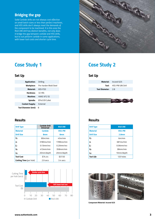## *Bridging the gap*

*Solid Carbide drills are not always cost effective on small batch sizes or less than perfect machines, and HSS drills don't always meet the demands of the component to be machined. It is this area the R40 UNI drill has distinct benefits, not only does it bridge the gap between carbide and HSS drills, but to out perform carbide in some applications, with lower tool costs and shorter cycle time.*



| <b>Application:</b>    | <b>Drilling</b>       |
|------------------------|-----------------------|
| Workpiece:             | Pre-harden Mold Steel |
| Material:              | AISI-P20              |
| Hardness:              | 32 HRc                |
| Machine:               | <b>HAAS VF2 SS</b>    |
| Spindle:               | BT40 ER Collet        |
| <b>Coolant Supply:</b> | External              |
| Tool Diameter (mm):    | 8                     |

## *Results*

| <b>Drill Type</b>              | <b>Carbide Drill</b><br><b>Universal</b> | <b>R40 UNI</b>  |
|--------------------------------|------------------------------------------|-----------------|
| <b>Material</b>                | <b>Carbide</b>                           | <b>HSS-PM</b>   |
| <b>Drill Size</b>              | 8 <sub>mm</sub>                          | 8 <sub>mm</sub> |
| V.:                            | 80m/min                                  | 45m/min         |
| n:                             | 3180rev/min                              | 1789rev/min     |
| f.:                            | $0.13$ mm/rev                            | $0.20$ mm/rev   |
| $V_f$ :                        | 413mm/min                                | 358mm/min       |
| a.:                            | 20mm/depth                               | 20mm/depth      |
| <b>Tool Cost</b>               | \$74.44                                  | \$37.50         |
| <b>Cutting Time</b> (per hole) | 2.9 secs                                 | $3.4$ secs      |



## *Case Study 1 Case Study 2*

## *Set Up Set Up*

|                           | <b>Material:</b> Inconel 625  |
|---------------------------|-------------------------------|
|                           | <b>Tool:</b> HSS-PM UNI Drill |
| <b>Tool Diameter:</b> 2.8 |                               |
|                           |                               |

## *Results*

| <b>Drill Type</b> | <b>R40 UNI</b>    |
|-------------------|-------------------|
| <b>Material</b>   | <b>HSS-PM</b>     |
| <b>Drill Size</b> | 2.8 <sub>mm</sub> |
| V.:               | 6m/min            |
| n:                | 681rev/min        |
| fz:               | 0.06mm/rev        |
| V <sub>f</sub> :  | 38mm/min          |
| a.:               | 10mm/depth        |
| <b>Tool Life</b>  | 120 holes         |





*Component Material: Inconel 625*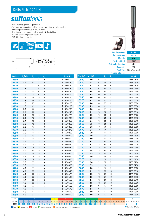- *SPM offers superior performance*
- *Suitable for production drilling as an alternative to carbide drills*
- *Suitable for materials up to 1500N/mm2*
- *Point geometry ensures high strength & short chips*
- *Endmill shank for greater accuracy*
- *TiAlN for longer tool life*





**P** *Steel* **M** *Stainless Steel* **K** *Cast Iron* **N** *Non-Ferrous Metals* **S** *Titanium & Super Alloys* **H** *Hard Materials*

| Size Ref.                           | $d1$ (h8) | Т, | $\mathbf{l}_{2}$ | $\mathbf{d}_{2}$ | Item $#$                                                                                                                                                                                                                                                                               | <b>Size Ref.</b> | $d_1(h8)$     | Т, | $\mathbf{l}_2$ | $\mathbf{d}_{2}$ | Item#                 |
|-------------------------------------|-----------|----|------------------|------------------|----------------------------------------------------------------------------------------------------------------------------------------------------------------------------------------------------------------------------------------------------------------------------------------|------------------|---------------|----|----------------|------------------|-----------------------|
| 0100                                | 1.0       | 38 | 6                | 3                | D155 0100                                                                                                                                                                                                                                                                              | 0500             | 5.0           | 62 | 26             | $\,$ 6           | D155 0500             |
| 0110                                | 1.1       | 39 | $\overline{7}$   | 3                | D155 0110                                                                                                                                                                                                                                                                              | 0510             | 5.1           | 62 | 26             | $\sqrt{6}$       | D155 0510             |
| 0120                                | 1.2       | 40 | 8                | 3                | D155 0120                                                                                                                                                                                                                                                                              | 0520             | 5.2           | 62 | 26             | 6                | D155 0520             |
| 0130                                | 1.3       | 40 | 8                | 3                | D155 0130                                                                                                                                                                                                                                                                              | 0530             | 5.3           | 62 | 26             | 6                | D155 0530             |
| 0140                                | 1.4       | 41 | 9                | 3                | D155 0140                                                                                                                                                                                                                                                                              | 0540             | 5.4           | 66 | 28             | 6                | D155 0540             |
| 0150                                | 1.5       | 41 | 9                | 3                | D155 0150                                                                                                                                                                                                                                                                              | 0550             | 5.5           | 66 | 28             | 6                | D155 0550             |
| 0160                                | 1.6       | 42 | 10               | 3                | D155 0160                                                                                                                                                                                                                                                                              | 0560             | 5.6           | 66 | 28             | 6                | D155 0560             |
| 0170                                | 1.7       | 42 | 10               | 3                | D155 0170                                                                                                                                                                                                                                                                              | 0570             | 5.7           | 66 | 28             | $\sqrt{6}$       | D155 0570             |
| 0180                                | 1.8       | 43 | 11               | 3                | D155 0180                                                                                                                                                                                                                                                                              | 0580             | 5.8           | 66 | 28             | 6                | D155 0580             |
| 0190                                | 1.9       | 43 | 11               | 3                | D155 0190                                                                                                                                                                                                                                                                              | 0590             | 5.9           | 66 | 28             | 6                | D155 0590             |
| 0200                                | 2.0       | 44 | 12               | 3                | D155 0200                                                                                                                                                                                                                                                                              | 0600             | 6.0           | 66 | 28             | 6                | D155 0600             |
| 0210                                | 2.1       | 44 | 12               | 3                | D155 0210                                                                                                                                                                                                                                                                              | 0610             | 6.1           | 70 | 31             | 8                | D155 0610             |
| 0220                                | 2.2       | 45 | 13               | 3                | D155 0220                                                                                                                                                                                                                                                                              | 0620             | 6.2           | 70 | 31             | 8                | D155 0620             |
| 0230                                | 2.3       | 45 | 13               | 3                | D155 0230                                                                                                                                                                                                                                                                              | 0630             | 6.3           | 70 | 31             | 8                | D155 0630             |
| 0240                                | 2.4       | 46 | 14               | 3                | D155 0240                                                                                                                                                                                                                                                                              | 0640             | 6.4           | 70 | 31             | 8                | D155 0640             |
| 0250                                | 2.5       | 46 | 14               | 3                | D155 0250                                                                                                                                                                                                                                                                              | 0650             | 6.5           | 70 | 31             | 8                | D155 0650             |
| 0260                                | 2.6       | 46 | 14               | 3                | D155 0260                                                                                                                                                                                                                                                                              | 0660             | 6.6           | 70 | 31             | 8                | D155 0660             |
| 0270                                | 2.7       | 46 | 16               | 3                | D155 0270                                                                                                                                                                                                                                                                              | 0670             | 6.7           | 70 | 31             | 8                | D155 0670             |
| 0280                                | 2.8       | 46 | 16               | 3                | D155 0280                                                                                                                                                                                                                                                                              | 0680             | 6.8           | 74 | 34             | 8                | D155 0680             |
| 0290                                | 2.9       | 46 | 16               | 3                | D155 0290                                                                                                                                                                                                                                                                              | 0690             | 6.9           | 74 | 34             | 8                | D155 0690             |
| 0300                                | 3.0       | 46 | 16               | 3                | D155 0300                                                                                                                                                                                                                                                                              | 0700             | 7.0           | 74 | 34             | 8                | D155 0700             |
| 0310                                | 3.1       | 49 | 18               | 4                | D155 0310                                                                                                                                                                                                                                                                              | 0710             | 7.1           | 74 | 34             | 8                | D155 0710             |
| 0320                                | 3.2       | 49 | 18               | 4                | D155 0320                                                                                                                                                                                                                                                                              | 0720             | 7.2           | 74 | 34             | 8                | D155 0720             |
| 0330                                | 3.3       | 49 | 18               | 4                | D155 0330                                                                                                                                                                                                                                                                              | 0730             | 7.3           | 74 | 34             | 8                | D155 0730             |
| 0340                                | 3.4       | 52 | 20               | 4                | D155 0340                                                                                                                                                                                                                                                                              | 0740             | 7.4           | 74 | 34             | 8                | D155 0740             |
| 0350                                | 3.5       | 52 | 20               | 4                | D155 0350                                                                                                                                                                                                                                                                              | 0750             | 7.5           | 74 | 34             | 8                | D155 0750             |
| 0360                                | 3.6       | 52 | 20               | 4                | D155 0360                                                                                                                                                                                                                                                                              | 0760             | 7.6           | 79 | 37             | 8                | D155 0760             |
| 0370                                | 3.7       | 52 | 20               | 4                | D155 0370                                                                                                                                                                                                                                                                              | 0770             | 7.7           | 79 | 37             | 8                | D155 0770             |
| 0380                                | 3.8       | 55 | 22               | 4                | D155 0380                                                                                                                                                                                                                                                                              | 0780             | 7.8           | 79 | 37             | 8                | D155 0780             |
| 0390                                | 3.9       | 55 | 22               | 4                | D155 0390                                                                                                                                                                                                                                                                              | 0790             | 7.9           | 79 | 37             | 8                | D155 0790             |
| 0400                                | 4.0       | 55 | 22               | 4                | D155 0400                                                                                                                                                                                                                                                                              | 0800             | 8.0           | 79 | 37             | 8                | D155 0800             |
| 0410                                | 4.1       | 55 | 22               | 6                | D155 0410                                                                                                                                                                                                                                                                              | 0810             | 8.1           | 79 | 37             | 10               | D155 0810             |
| 0420                                | 4.2       | 55 | 22               | 6                | D155 0420                                                                                                                                                                                                                                                                              | 0820             | 8.2           | 79 | 37             | 10               | D155 0820             |
| 0430                                | 4.3       | 58 | 24               | 6                | D155 0430                                                                                                                                                                                                                                                                              | 0830             | 8.3           | 79 | 37             | 10               | D155 0830             |
| 0440                                | 4.4       | 58 | 24               | 6                | D155 0440                                                                                                                                                                                                                                                                              | 0840             | 8.4           | 79 | 37             | 10               | D155 0840             |
| 0450                                | 4.5       | 58 | 24               | 6                | D155 0450                                                                                                                                                                                                                                                                              | 0850             | 8.5           | 79 | 37             | 10               | D155 0850             |
| 0460                                | 4.6       | 58 | 24               | 6                | D155 0460                                                                                                                                                                                                                                                                              | 0860             | 8.6           | 84 | 40             | 10               | D155 0860             |
| 0470                                | 4.7       | 58 | 24               | 6                | D155 0470                                                                                                                                                                                                                                                                              | 0870             | 8.7           | 84 | 40             | 10               | D155 0870             |
| 0480                                | 4.8       | 62 | 26               | 6                | D155 0480                                                                                                                                                                                                                                                                              | 0880             | 8.8           | 84 | 40             | 10               | D155 0880             |
| 0490                                | 4.9       | 62 | 26               | 6                | D155 0490                                                                                                                                                                                                                                                                              | 0890             | 8.9           | 84 | 40             | 10               | D155 0890             |
| <b>ISO</b>                          |           | Þ  |                  |                  | M<br>K                                                                                                                                                                                                                                                                                 | $\mathbf{N}$     |               |    |                | s                | н                     |
| <b>VDI 3323</b><br>D <sub>155</sub> | $\bullet$ |    |                  |                  | 1 2 3 4 5 6 7 8 9 10 11 12 13 141, 142 143 15 16 17 18 19 20 21 22 23 24 25 26 27 28 29 30 31 32 33 34 35 36 371 322 33 34 35 36 371 322 33 34 35 36 371 322 33 34 35 36 371 322 33 34 35 36 371 322 33 34 35 36 371 322 33 34<br><u>alalalalalalolalololololalalalalalalolololala</u> |                  | $ 0 $ o $ 0 $ |    | $\Omega$       | $\Omega$         | $\bullet$<br>$\Omega$ |

*Catalogue Code D155*

*Product Group A1502 Material* **SPM** *Surface Finish TiAlN Sutton Designation UNI Geometry R40 Point Type 130° 4 Facet Form B*

*Shank Tolerance h7*



• *Optimal* • *Effective*

*D155*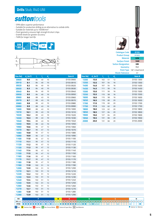- *SPM offers superior performance*
- *Suitable for production drilling as an alternative to carbide drills*
- *Suitable for materials up to 1500N/mm2*
- *Point geometry ensures high strength & short chips*
- *Endmill shank for greater accuracy*
- *TiAlN for longer tool life*





| Size Ref.  | $d_{1}(m7)$ | Т,       | Τ, | $\mathbf{d}_{2}$ | Item #                                                                                                | Size Ref. | $d_{1}(m7)$ | Ц.  | $\mathbf{l}$ , | $\mathbf{d}_{2}$ |             | <b>Item</b>        |
|------------|-------------|----------|----|------------------|-------------------------------------------------------------------------------------------------------|-----------|-------------|-----|----------------|------------------|-------------|--------------------|
| 0900       | 9.0         | 84       | 40 | 10               | D155 0900                                                                                             | 1300      | 13.0        | 102 | 51             | 12               |             | D1551              |
| 0910       | 9.1         | 84       | 40 | 10               | D155 0910                                                                                             | 1350      | 13.5        | 107 | 54             | 16               |             | D1551              |
| 0920       | 9.2         | 84       | 40 | 10               | D155 0920                                                                                             | 1400      | 14.0        | 107 | 54             | 16               |             | D1551              |
| 0930       | 9.3         | 84       | 40 | 10               | D155 0930                                                                                             | 1450      | 14.5        | 111 | 56             | 16               |             | D1551              |
| 0940       | 9.4         | 84       | 40 | 10               | D155 0940                                                                                             | 1500      | 15.0        | 111 | 56             | 16               |             | D1551              |
| 0950       | 9.5         | 84       | 40 | 10               | D155 0950                                                                                             | 1550      | 15.5        | 115 | 58             | 16               |             | D1551              |
| 0960       | 9.6         | 89       | 43 | 10               | D155 0960                                                                                             | 1600      | 16.0        | 115 | 58             | 16               |             | D1551              |
| 0970       | 9.7         | 89       | 43 | 10               | D155 0970                                                                                             | 1650      | 16.5        | 119 | 60             | 20               |             | D1551              |
| 0980       | 9.8         | 89       | 43 | 10               | D155 0980                                                                                             | 1700      | 17.0        | 119 | 60             | 20               |             | D1551              |
| 0990       | 9.9         | 89       | 43 | 10               | D155 0990                                                                                             | 1750      | 17.5        | 123 | 62             | 20               |             | D1551              |
| 1000       | 10.0        | 89       | 43 | 10               | D155 1000                                                                                             | 1800      | 18.0        | 123 | 62             | 20               |             | D1551              |
| 1010       | 10.1        | 89       | 43 | 10               | D155 1010                                                                                             | 1850      | 18.5        | 127 | 64             | 20               |             | D1551              |
| 1020       | 10.2        | 89       | 43 | 10               | D155 1020                                                                                             | 1900      | 19.0        | 127 | 64             | 20               |             | D1551              |
| 1030       | 10.3        | 89       | 43 | 10               | D155 1030                                                                                             | 1950      | 19.5        | 131 | 66             | 20               |             | D <sub>155</sub> 1 |
| 1040       | 10.4        | 89       | 43 | 10               | D155 1040                                                                                             | 2000      | 20.0        | 131 | 66             | 20               |             | D1552              |
| 1050       | 10.5        | 89       | 43 | 10               | D155 1050                                                                                             |           |             |     |                |                  |             |                    |
| 1060       | 10.6        | 95       | 47 | 12               | D155 1060                                                                                             |           |             |     |                |                  |             |                    |
| 1070       | 10.7        | 95       | 47 | 12               | D155 1070                                                                                             |           |             |     |                |                  |             |                    |
| 1080       | 10.8        | 95       | 47 | 12               | D155 1080                                                                                             |           |             |     |                |                  |             |                    |
| 1090       | 10.9        | 95       | 47 | 12               | D155 1090                                                                                             |           |             |     |                |                  |             |                    |
| 1100       | 11.0        | 95       | 47 | 12               | D155 1100                                                                                             |           |             |     |                |                  |             |                    |
| 1110       | 11.1        | 95       | 47 | 12               | D155 1110                                                                                             |           |             |     |                |                  |             |                    |
| 1120       | 11.2        | 95       | 47 | 12               | D155 1120                                                                                             |           |             |     |                |                  |             |                    |
| 1130       | 11.3        | 95       | 47 | 12               | D155 1130                                                                                             |           |             |     |                |                  |             |                    |
| 1140       | 11.4        | 95       | 47 | 12               | D155 1140                                                                                             |           |             |     |                |                  |             |                    |
| 1150       | 11.5        | 95       | 47 | 12               | D155 1150                                                                                             |           |             |     |                |                  |             |                    |
| 1160       | 11.6        | 95       | 47 | 12               | D155 1160                                                                                             |           |             |     |                |                  |             |                    |
| 1170       | 11.7        | 95       | 47 | 12               | D155 1170                                                                                             |           |             |     |                |                  |             |                    |
| 1180       | 11.8        | 95       | 47 | 12               | D155 1180                                                                                             |           |             |     |                |                  |             |                    |
| 1190       | 11.9        | 102      | 51 | 12               | D155 1190                                                                                             |           |             |     |                |                  |             |                    |
| 1200       | 12.0        | 102      | 51 | 12               | D155 1200                                                                                             |           |             |     |                |                  |             |                    |
| 1210       | 12.1        | 102      | 51 | 12               | D155 1210                                                                                             |           |             |     |                |                  |             |                    |
| 1220       | 12.2        | 102      | 51 | 12               | D155 1220                                                                                             |           |             |     |                |                  |             |                    |
| 1230       | 12.3        | 102      | 51 | 12               | D155 1230                                                                                             |           |             |     |                |                  |             |                    |
| 1240       | 12.4        | 102      | 51 | 12               | D155 1240                                                                                             |           |             |     |                |                  |             |                    |
| 1250       | 12.5        | 102      | 51 | 12               | D155 1250                                                                                             |           |             |     |                |                  |             |                    |
| 1260       | 12.6        | 102      | 51 | 12               | D155 1260                                                                                             |           |             |     |                |                  |             |                    |
| 1270       | 12.7        | 102      | 51 | 12               | D155 1270                                                                                             |           |             |     |                |                  |             |                    |
| 1280       | 12.8        | 102      | 51 | 12               | D155 1280                                                                                             |           |             |     |                |                  |             |                    |
| 1290       | 12.9        | 102      | 51 | 12               | D155 1290                                                                                             |           |             |     |                |                  |             |                    |
| <b>ISO</b> |             | <b>P</b> |    |                  | K<br>M                                                                                                | N         |             |     |                | $\mathsf{s}$     |             | н                  |
|            |             |          |    |                  |                                                                                                       |           |             |     |                |                  |             |                    |
| D155       |             |          |    |                  |                                                                                                       |           | 0 0 0 0     |     | $\circ$        | $\circ$          | O           |                    |
|            |             |          |    |                  | P Steel M Stainless Steel K Cast Iron N Non-Ferrous Metals S Titanium & Super Alloys H Hard Materials |           |             |     |                |                  | Optimal O E |                    |





*Catalogue Code D155 Product Group A1502 Material* **SPM** *Surface Finish TiAlN Sutton Designation UNI Geometry R40*

*Point Type 130° 4 Facet Form B Shank Tolerance h7*

*d2 Item #*

| www.suttontools.com |  |  |
|---------------------|--|--|

• *Optimal* • *Effective*

• *<sup>41</sup>*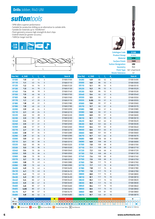- *SPM offers superior performance*
- *Suitable for production drilling as an alternative to carbide drills*
- *Suitable for materials up to 1500N/mm2*
- *Point geometry ensures high strength & short chips*
- *Endmill shank for greater accuracy*
- *TiAlN for longer tool life*





| <b>Size Ref.</b> | d, (h8) | ۱,   | $\mathsf{I}_2$ | $\mathbf{d}_{2}$ | Item#    | <b>Size Ref.</b> | d, (h8) | Т,  | $I_{2}$ | $\mathbf{d}_{2}$ | Item#     |
|------------------|---------|------|----------------|------------------|----------|------------------|---------|-----|---------|------------------|-----------|
| 0100             | 1.0     | 41   | 12             | 3                | D1680100 | 0490             | 4.9     | 86  | 52      | 6                | D1680490  |
| 0110             | 1.1     | 43   | 14             | $\overline{3}$   | D1680110 | 0500             | 5.0     | 86  | 52      | 6                | D1680500  |
| 0120             | 1.2     | 44   | 16             | 3                | D1680120 | 0510             | 5.1     | 86  | 52      | 6                | D1680510  |
| 0130             | 1.3     | $44$ | 16             | 3                | D1680130 | 0520             | 5.2     | 86  | 52      | 6                | D1680520  |
| 0140             | 1.4     | 46   | 18             | 3                | D1680140 | 0530             | 5.3     | 86  | 52      | 6                | D1680530  |
| 0150             | 1.5     | 46   | 18             | 3                | D1680150 | 0540             | 5.4     | 93  | 57      | 6                | D1680540  |
| 0160             | 1.6     | 47   | 20             | 3                | D1680160 | 0550             | 5.5     | 93  | 57      | 6                | D168 0550 |
| 0170             | 1.7     | 47   | 20             | 3                | D1680170 | 0555             | 5.55    | 93  | 57      | 6                | D1680555  |
| 0180             | 1.8     | 49   | 22             | $\overline{3}$   | D1680180 | 0560             | 5.6     | 93  | 57      | 6                | D1680560  |
| 0190             | 1.9     | 49   | 22             | $\overline{3}$   | D1680190 | 0570             | 5.7     | 93  | 57      | 6                | D1680570  |
| 0200             | 2.0     | 49   | 24             | 3                | D1680200 | 0580             | 5.8     | 93  | 57      | 6                | D1680580  |
| 0210             | 2.1     | 49   | 24             | 3                | D1680210 | 0590             | 5.9     | 93  | 57      | 6                | D1680590  |
| 0220             | 2.2     | 53   | 28             | 3                | D1680220 | 0600             | 6.0     | 93  | 57      | 6                | D1680600  |
| 0230             | 2.3     | 53   | 28             | 3                | D1680230 | 0610             | 6.1     | 101 | 63      | 8                | D1680610  |
| 0240             | 2.4     | 57   | 31             | 3                | D1680240 | 0620             | 6.2     | 101 | 63      | 8                | D1680620  |
| 0250             | 2.5     | 57   | 31             | 3                | D1680250 | 0630             | 6.3     | 101 | 63      | 8                | D1680630  |
| 0260             | 2.6     | 57   | 31             | 3                | D1680260 | 0640             | 6.4     | 101 | 63      | 8                | D1680640  |
| 0270             | 2.7     | 61   | 34             | $\overline{3}$   | D1680270 | 0650             | 6.5     | 101 | 63      | 8                | D168 0650 |
| 0280             | 2.8     | 61   | 34             | 3                | D1680280 | 0660             | 6.6     | 101 | 63      | 8                | D1680660  |
| 0290             | 2.9     | 61   | 34             | 3                | D1680290 | 0670             | 6.7     | 101 | 63      | 8                | D1680670  |
| 0300             | 3.0     | 61   | 33             | 3                | D1680300 | 0680             | 6.8     | 109 | 69      | 8                | D1680680  |
| 0310             | 3.1     | 65   | 36             | $\sqrt{4}$       | D1680310 | 0690             | 6.9     | 109 | 69      | 8                | D1680690  |
| 0320             | 3.2     | 65   | 36             | 4                | D1680320 | 0700             | 7.0     | 109 | 69      | 8                | D1680700  |
| 0330             | 3.3     | 65   | 36             | 4                | D1680330 | 0710             | 7.1     | 109 | 69      | 8                | D1680710  |
| 0340             | 3.4     | 70   | 39             | 4                | D1680340 | 0720             | 7.2     | 109 | 69      | 8                | D1680720  |
| 0350             | 3.5     | 70   | 39             | 4                | D1680350 | 0730             | 7.3     | 109 | 69      | 8                | D1680730  |
| 0360             | 3.6     | 70   | 39             | 4                | D1680360 | 0740             | 7.4     | 109 | 69      | 8                | D1680740  |
| 0370             | 3.7     | 70   | 39             | 4                | D1680370 | 0750             | 7.5     | 109 | 69      | 8                | D1680750  |
| 0380             | 3.8     | 75   | 43             | 4                | D1680380 | 0760             | 7.6     | 117 | 75      | 8                | D1680760  |
| 0390             | 3.9     | 75   | 43             | $\sqrt{4}$       | D1680390 | 0770             | 7.7     | 117 | 75      | $\,8\,$          | D1680770  |
| 0400             | 4.0     | 75   | 43             | 4                | D1680400 | 0780             | 7.8     | 117 | 75      | 8                | D1680780  |
| 0410             | 4.1     | 75   | 43             | 6                | D1680410 | 0790             | 7.9     | 117 | 75      | 8                | D1680790  |
| 0420             | 4.2     | 75   | 43             | 6                | D1680420 | 0800             | 8.0     | 117 | 75      | 8                | D1680800  |
| 0430             | 4.3     | 80   | 47             | 6                | D1680430 | 0810             | 8.1     | 117 | 75      | 10               | D1680810  |
| 0440             | 4.4     | 80   | 47             | 6                | D1680440 | 0820             | 8.2     | 117 | 75      | 10               | D1680820  |
| 0450             | 4.5     | 80   | 47             | 6                | D1680450 | 0830             | 8.3     | 117 | 75      | 10               | D1680830  |
| 0460             | 4.6     | 80   | 47             | 6                | D1680460 | 0840             | 8.4     | 117 | 75      | 10               | D1680840  |
| 0465             | 4.65    | 80   | 47             | $\,$ 6 $\,$      | D1680465 | 0850             | 8.5     | 117 | 75      | $10$             | D1680850  |
| 0470             | 4.7     | 80   | 47             | 6                | D1680470 | 0860             | 8.6     | 125 | 81      | 10               | D1680860  |
| 0480             | 4.8     | 86   | 52             | 6                | D1680480 | 0870             | 8.7     | 125 | 81      | 10               | D1680870  |
| ISO              |         | P    |                |                  | K<br>M   | $\mathbf{N}$     |         |     |         | s                | н         |

**P** *Steel* **M** *Stainless Steel* **K** *Cast Iron* **N** *Non-Ferrous Metals* **S** *Titanium & Super Alloys* **H** *Hard Materials D168* • *1* • *2* • *3* • *4* • *5* • *6* • *7* • *8* • *9* • *10* • *11* • *12* • *13* • *14.1* • *14.2* • *14.3* • *15* • *16* • *17* • *18* • *19* • *20* • *21* • *22* • *23* • *24* • *25* • *26* • *27* • *28* •*VDI* 3323 12 **32 33 34 35 36 37.1** 37.2 **37.4 37.3 37.4 37.5 37.4 37.5 37.4 37.5 37.4 37.5 37.4 37.5 37.4 37.5 37.4 37.5 37.4 37.5 37.4 37.5 37.4 37.5 37.4 37.5 3**  $\circ$  $\overline{\circ}$ • *Optimal* • *Effective* • *38.1* • *<sup>41</sup>*



*Product Group A1502 Material* **SPM** *Surface Finish TiAlN Sutton Designation UNI Geometry R40 Point Type 130° 4 Facet Form B*

*Shank Tolerance h7*

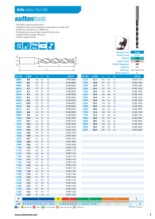- *SPM offers superior performance*
- *Suitable for production drilling as an alternative to carbide drills*
- *Suitable for materials up to 1500N/mm2*
- *Point geometry ensures high strength & short chips*
- *Endmill shank for greater accuracy*
- *TiAlN for longer tool life*





| Size Ref.       | d, (h8)                                    | Ц.  | Ι,  | $\mathbf{d}_{2}$ | Item #                                                                                                  | Size Ref.                           | $d_1(h8)$          | Ī, |
|-----------------|--------------------------------------------|-----|-----|------------------|---------------------------------------------------------------------------------------------------------|-------------------------------------|--------------------|----|
| 0880            | 8.8                                        | 125 | 81  | 10               | D1680880                                                                                                | 1270                                | 12.7               | 15 |
| 0890            | 8.9                                        | 125 | 81  | 10               | D1680890                                                                                                | 1280                                | 12.8               | 15 |
| 0900            | 9.0                                        | 125 | 81  | 10               | D1680900                                                                                                | 1290                                | 12.9               | 15 |
| 0910            | 9.1                                        | 125 | 81  | 10               | D1680910                                                                                                | 1300                                | 13.0               | 15 |
| 0920            | 9.2                                        | 125 | 81  | 10               | D1680920                                                                                                | 1350                                | 13.5               | 16 |
| 0930            | 9.3                                        | 125 | 81  | 10               | D1680930                                                                                                | 1400                                | 14.0               | 16 |
| 0940            | 9.4                                        | 125 | 81  | 10               | D1680940                                                                                                | 1450                                | 14.5               | 16 |
| 0950            | 9.5                                        | 125 | 81  | 10               | D1680950                                                                                                | 1500                                | 15.0               | 16 |
| 0955            | 9.55                                       | 133 | 87  | 10               | D1680955                                                                                                | 1550                                | 15.5               | 17 |
| 0960            | 9.6                                        | 133 | 87  | 10               | D1680960                                                                                                | 1600                                | 16.0               | 17 |
| 0970            | 9.7                                        | 133 | 87  | 10               | D1680970                                                                                                | 1650                                | 16.5               | 18 |
| 0980            | 9.8                                        | 133 | 87  | 10               | D1680980                                                                                                | 1700                                | 17.0               | 18 |
| 0990            | 9.9                                        | 133 | 87  | 10               | D1680990                                                                                                | 1750                                | 17.5               | 19 |
| 1000            | 10.0                                       | 133 | 87  | 10               | D168 1000                                                                                               | 1800                                | 18.0               | 19 |
| 1010            | 10.1                                       | 133 | 87  | 10               | D168 1010                                                                                               | 1850                                | 18.5               | 19 |
| 1020            | 10.2                                       | 133 | 87  | 10               | D168 1020                                                                                               | 1900                                | 19.0               | 19 |
| 1030            | 10.3                                       | 133 | 87  | 10               | D168 1030                                                                                               | 1950                                | 19.5               | 2C |
| 1040            | 10.4                                       | 133 | 87  | 10               | D168 1040                                                                                               | 2000                                | 20.0               | 2C |
| 1050            | 10.5                                       | 133 | 87  | 10               | D168 1050                                                                                               |                                     |                    |    |
| 1060            | 10.6                                       | 133 | 87  | 12               | D168 1060                                                                                               |                                     |                    |    |
| 1070            | 10.7                                       | 142 | 94  | 12               | D168 1070                                                                                               |                                     |                    |    |
| 1080            | 10.8                                       | 142 | 94  | 12               | D168 1080                                                                                               |                                     |                    |    |
| 1090            | 10.9                                       | 142 | 94  | 12               | D168 1090                                                                                               |                                     |                    |    |
| 1100            | 11.0                                       | 142 | 94  | 12               | D168 1100                                                                                               |                                     |                    |    |
| 1110            | 11.1                                       | 142 | 94  | 12               | D168 1110                                                                                               |                                     |                    |    |
| 1120            | 11.2                                       | 142 | 94  | 12               | D168 1120                                                                                               |                                     |                    |    |
| 1130            | 11.3                                       | 142 | 94  | 12               | D168 1130                                                                                               |                                     |                    |    |
| 1140            | 11.4                                       | 142 | 94  | 12               | D168 1140                                                                                               |                                     |                    |    |
| 1150            | 11.5                                       | 142 | 94  | 12               | D168 1150                                                                                               |                                     |                    |    |
| 1160            | 11.6                                       | 142 | 94  | 12               | D168 1160                                                                                               |                                     |                    |    |
| 1170            | 11.7                                       | 142 | 94  | 12               | D168 1170                                                                                               |                                     |                    |    |
| 1180            | 11.8                                       | 142 | 94  | 12               | D168 1180                                                                                               |                                     |                    |    |
| 1190            | 11.9                                       | 151 | 101 | 12               | D168 1190                                                                                               |                                     |                    |    |
| 1200            | 12.0                                       | 151 | 101 | 12               | D168 1200                                                                                               |                                     |                    |    |
| 1210            | 12.1                                       | 151 | 101 | 12               | D168 1210                                                                                               |                                     |                    |    |
| 1220            | 12.2                                       | 151 | 101 | 12               | D168 1220                                                                                               |                                     |                    |    |
| 1230            | 12.3                                       | 151 | 101 | 12               | D168 1230                                                                                               |                                     |                    |    |
| 1240            | 12.4                                       | 151 | 101 | 12               | D168 1240                                                                                               |                                     |                    |    |
| 1250            | 12.5                                       | 151 | 101 | 12<br>12         | D168 1250                                                                                               |                                     |                    |    |
| 1260            | 12.6                                       | 151 | 101 |                  | D168 1260                                                                                               |                                     |                    |    |
| <b>ISO</b>      |                                            | Þ   |     |                  | K<br>M                                                                                                  | N                                   |                    |    |
| <b>VDI 3323</b> |                                            |     |     |                  | 1 2 3 4 5 6 7 8 9 10 11 12 13 14 14 14 15 16 17 18 19 20 21 22 23 24 25 26 27 28 29 30 31               |                                     |                    |    |
| D168            | $\bullet$<br>$\bullet\bullet$<br>$\bullet$ |     |     |                  | $  \bullet   \circ   \circ   \bullet  $<br>$\bullet\bullet$<br>$\bullet$<br>$\bullet$<br>$\bullet$      | $\bullet$ $\circ$ $\circ$ $\bullet$ | $\circ$<br>$\circ$ |    |
|                 |                                            |     |     |                  | P Steel M Stainless Steel K Cast Iron N Non-Ferrous Metals S Titanium & Super Alloys H   Hard Materials |                                     |                    |    |





*Catalogue Code D168 Product Group A1502 Material* **SPM** *Surface Finish TiAlN Sutton Designation UNI Geometry R40 Point Type 130° 4 Facet Form B*

*Shank Tolerance h7*

| <b>Size Ref.</b> | $d_1(h8)$ | Ι,  | I,  | d, | Item#                 |
|------------------|-----------|-----|-----|----|-----------------------|
| 1270             | 12.7      | 151 | 101 | 12 | D <sub>168</sub> 1270 |
| 1280             | 12.8      | 151 | 101 | 12 | D <sub>168</sub> 1280 |
| 1290             | 12.9      | 151 | 101 | 12 | D <sub>168</sub> 1290 |
| 1300             | 13.0      | 151 | 101 | 12 | D <sub>168</sub> 1300 |
| 1350             | 13.5      | 160 | 108 | 16 | D168 1350             |
| 1400             | 14.0      | 160 | 108 | 16 | D168 1400             |
| 1450             | 14.5      | 169 | 114 | 16 | D <sub>168</sub> 1450 |
| 1500             | 15.0      | 169 | 114 | 16 | D <sub>168</sub> 1500 |
| 1550             | 15.5      | 178 | 120 | 16 | D <sub>168</sub> 1550 |
| 1600             | 16.0      | 178 | 120 | 16 | D <sub>168</sub> 1600 |
| 1650             | 16.5      | 184 | 125 | 20 | D <sub>168</sub> 1650 |
| 1700             | 17.0      | 184 | 125 | 20 | D <sub>168</sub> 1700 |
| 1750             | 17.5      | 191 | 130 | 20 | D <sub>168</sub> 1750 |
| 1800             | 18.0      | 191 | 130 | 20 | D168 1800             |
| 1850             | 18.5      | 198 | 135 | 20 | D <sub>168</sub> 1850 |
| 1900             | 19.0      | 198 | 135 | 20 | D <sub>168</sub> 1900 |
| 1950             | 19.5      | 205 | 140 | 20 | D <sub>168</sub> 1950 |
| 2000             | 20.0      | 205 | 140 | 20 | D <sub>168</sub> 2000 |

• *Optimal* • *Effective*

**H**

• *<sup>41</sup>*

• *38.1*

**S**

 *<sup>34</sup> <sup>35</sup> <sup>36</sup> 37.1 37.2 37.3 37.4 37.5 38.2 39.1 39.2*  $\overline{\Omega}$ 

  $\overline{c}$